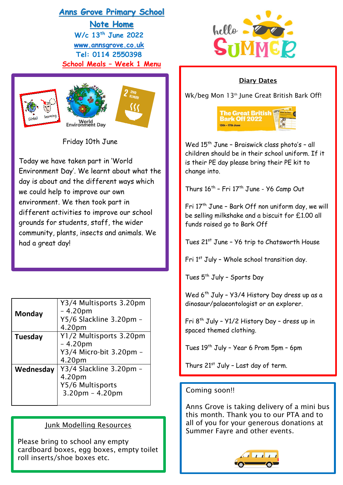# **Anns Grove Primary School Note Home W/c 13th June 2022 [www.annsgrove.co.uk](http://www.annsgrove.co.uk/)  Tel: 0114 2550398 School Meals – Week 1 Menu**



Friday 10th June

Today we have taken part in 'World Environment Day'. We learnt about what the day is about and the different ways which we could help to improve our own environment. We then took part in different activities to improve our school grounds for students, staff, the wider community, plants, insects and animals. We had a great day!

| Monday    | Y3/4 Multisports 3.20pm<br>$-4.20pm$<br>Y5/6 Slackline 3.20pm -<br>4.20pm  |
|-----------|----------------------------------------------------------------------------|
| Tuesday   | Y1/2 Multisports 3.20pm<br>- 4.20pm<br>Y3/4 Micro-bit 3.20pm -<br>4.20pm   |
| Wednesday | Y3/4 Slackline 3.20pm -<br>4.20pm<br>Y5/6 Multisports<br>$3.20pm - 4.20pm$ |

### Junk Modelling Resources

Please bring to school any empty cardboard boxes, egg boxes, empty toilet roll inserts/shoe boxes etc.



# Diary Dates

Wk/beg Mon 13<sup>th</sup> June Great British Bark Off!



Wed 15<sup>th</sup> June - Braiswick class photo's - all children should be in their school uniform. If it is their PE day please bring their PE kit to change into.

Thurs 16<sup>th</sup> - Fri 17<sup>th</sup> June - Y6 Camp Out

Fri 17<sup>th</sup> June - Bark Off non uniform day, we will be selling milkshake and a biscuit for £1.00 all funds raised go to Bark Off

Tues 21<sup>st</sup> June - Y6 trip to Chatsworth House

Fri 1<sup>st</sup> July - Whole school transition day.

Tues 5<sup>th</sup> July - Sports Day

Wed 6<sup>th</sup> July - Y3/4 History Day dress up as a dinosaur/palaeontologist or an explorer.

Fri 8th July – Y1/2 History Day – dress up in spaced themed clothing.

Tues 19th July – Year 6 Prom 5pm – 6pm

Thurs  $21^{st}$  July - Last day of term.

## Coming soon!!

Ĩ

 Anns Grove is taking delivery of a mini bus this month. Thank you to our PTA and to all of you for your generous donations at Summer Fayre and other events.

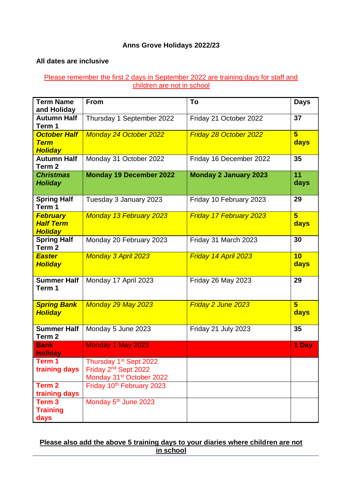### **Anns Grove Holidays 2022/23**

#### **All dates are inclusive**

#### Please remember the first 2 days in September 2022 are training days for staff and children are not in school

| <b>Term Name</b>                                      | <b>From</b>                                                                                                    | To                             | <b>Days</b>                   |
|-------------------------------------------------------|----------------------------------------------------------------------------------------------------------------|--------------------------------|-------------------------------|
| and Holiday                                           |                                                                                                                |                                |                               |
| <b>Autumn Half</b><br>Term 1                          | Thursday 1 September 2022                                                                                      | Friday 21 October 2022         | 37                            |
| <b>October Half</b><br><b>Term</b><br><b>Holiday</b>  | <b>Monday 24 October 2022</b>                                                                                  | Friday 28 October 2022         | 5 <sup>5</sup><br>days        |
| <b>Autumn Half</b><br>Term <sub>2</sub>               | Monday 31 October 2022                                                                                         | Friday 16 December 2022        | 35                            |
| <b>Christmas</b><br><b>Holiday</b>                    | <b>Monday 19 December 2022</b>                                                                                 | <b>Monday 2 January 2023</b>   | 11<br>days                    |
| <b>Spring Half</b><br>Term 1                          | Tuesday 3 January 2023                                                                                         | Friday 10 February 2023        | 29                            |
| <b>February</b><br><b>Half Term</b><br><b>Holiday</b> | <b>Monday 13 February 2023</b>                                                                                 | <b>Friday 17 February 2023</b> | 5 <sup>5</sup><br><b>days</b> |
| <b>Spring Half</b><br>Term 2                          | Monday 20 February 2023                                                                                        | Friday 31 March 2023           | 30                            |
| <b>Easter</b><br><b>Holiday</b>                       | <b>Monday 3 April 2023</b>                                                                                     | Friday 14 April 2023           | 10<br>days                    |
| <b>Summer Half</b><br>Term 1                          | Monday 17 April 2023                                                                                           | <b>Friday 26 May 2023</b>      | 29                            |
| <b>Spring Bank</b><br><b>Holiday</b>                  | Monday 29 May 2023                                                                                             | Friday 2 June 2023             | 5 <sup>5</sup><br>days        |
| <b>Summer Half</b><br>Term <sub>2</sub>               | Monday 5 June 2023                                                                                             | Friday 21 July 2023            | 35                            |
| <b>Bank</b><br><b>Holidav</b>                         | Monday 1 May 2023                                                                                              |                                | 1 Day                         |
| Term 1<br>training days                               | Thursday 1 <sup>st</sup> Sept 2022<br>Friday 2 <sup>nd</sup> Sept 2022<br>Monday 31 <sup>st</sup> October 2022 |                                |                               |
| Term 2<br>training days                               | Friday 10th February 2023                                                                                      |                                |                               |
| Term <sub>3</sub><br><b>Training</b><br>days          | Monday 5 <sup>th</sup> June 2023                                                                               |                                |                               |

#### **Please also add the above 5 training days to your diaries where children are not in school**